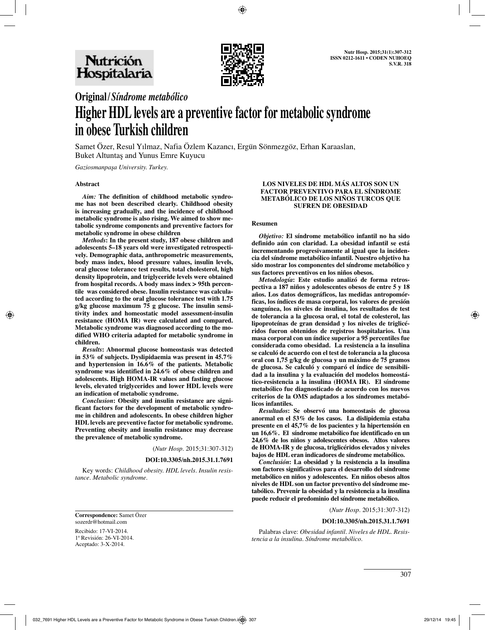

# **Original/***Síndrome metabólico*

# **Higher HDL levels are a preventive factor for metabolic syndrome in obese Turkish children**

Samet Özer, Resul Yılmaz, Nafia Özlem Kazancı, Ergün Sönmezgöz, Erhan Karaaslan, Buket Altuntaş and Yunus Emre Kuyucu

*Gaziosmanpaşa University. Turkey.*

## **Abstract**

*Aim:* **The definition of childhood metabolic syndrome has not been described clearly. Childhood obesity is increasing gradually, and the incidence of childhood metabolic syndrome is also rising. We aimed to show metabolic syndrome components and preventive factors for metabolic syndrome in obese children**

*Methods***: In the present study, 187 obese children and adolescents 5–18 years old were investigated retrospectively. Demographic data, anthropometric measurements, body mass index, blood pressure values, insulin levels, oral glucose tolerance test results, total cholesterol, high density lipoprotein, and triglyceride levels were obtained from hospital records. A body mass index > 95th percentile was considered obese. Insulin resistance was calculated according to the oral glucose tolerance test with 1.75 g/kg glucose maximum 75 g glucose. The insulin sensitivity index and homeostatic model assessment-insulin resistance (HOMA IR) were calculated and compared. Metabolic syndrome was diagnosed according to the modified WHO criteria adapted for metabolic syndrome in children.**

*Results***: Abnormal glucose homeostasis was detected in 53% of subjects. Dyslipidaemia was present in 45.7% and hypertension in 16.6% of the patients. Metabolic syndrome was identified in 24.6% of obese children and adolescents. High HOMA-IR values and fasting glucose levels, elevated triglycerides and lower HDL levels were an indication of metabolic syndrome.**

*Conclusion***: Obesity and insulin resistance are significant factors for the development of metabolic syndrome in children and adolescents. In obese children higher HDL levels are preventive factor for metabolic syndrome. Preventing obesity and insulin resistance may decrease the prevalence of metabolic syndrome.**

(*Nutr Hosp.* 2015;31:307-312)

#### **DOI:10.3305/nh.2015.31.1.7691**

Key words: *Childhood obesity. HDL levels. Insulin resistance. Metabolic syndrome.*

**Correspondence:** Samet Özer sozerdr@hotmail.com

Recibido: 17-VI-2014. 1ª Revisión: 26-VI-2014. Aceptado: 3-X-2014.

#### **LOS NIVELES DE HDL MÁS ALTOS SON UN FACTOR PREVENTIVO PARA EL SÍNDROME METABÓLICO DE LOS NIÑOS TURCOS QUE SUFREN DE OBESIDAD**

## **Resumen**

*Objetivo:* **El síndrome metabólico infantil no ha sido definido aún con claridad. La obesidad infantil se está incrementando progresivamente al igual que la incidencia del síndrome metabólico infantil. Nuestro objetivo ha sido mostrar los componentes del síndrome metabólico y sus factores preventivos en los niños obesos.** 

*Metodología***: Este estudio analizó de forma retrospectiva a 187 niños y adolescentes obesos de entre 5 y 18 años. Los datos demográficos, las medidas antropomórficas, los índices de masa corporal, los valores de presión sanguínea, los niveles de insulina, los resultados de test de tolerancia a la glucosa oral, el total de colesterol, las lipoproteínas de gran densidad y los niveles de triglicéridos fueron obtenidos de registros hospitalarios. Una masa corporal con un índice superior a 95 percentiles fue considerada como obesidad. La resistencia a la insulina se calculó de acuerdo con el test de tolerancia a la glucosa oral con 1,75 g/kg de glucosa y un máximo de 75 gramos de glucosa. Se calculó y comparó el índice de sensibilidad a la insulina y la evaluación del modelos homeostático-resistencia a la insulina (HOMA IR). El síndrome metabólico fue diagnosticado de acuerdo con los nuevos criterios de la OMS adaptados a los síndromes metabólicos infantiles.** 

*Resultados***: Se observó una homeostasis de glucosa anormal en el 53% de los casos. La dislipidemia estaba presente en el 45,7% de los pacientes y la hipertensión en un 16,6%. El síndrome metabólico fue identificado en un 24,6% de los niños y adolescentes obesos. Altos valores de HOMA-IR y de glucosa, triglicéridos elevados y niveles bajos de HDL eran indicadores de síndrome metabólico.** 

*Conclusión***: La obesidad y la resistencia a la insulina son factores significativos para el desarrollo del síndrome metabólico en niños y adolescentes. En niños obesos altos niveles de HDL son un factor preventivo del síndrome metabólico. Prevenir la obesidad y la resistencia a la insulina puede reducir el predominio del síndrome metabólico.**

(*Nutr Hosp.* 2015;31:307-312)

#### **DOI:10.3305/nh.2015.31.1.7691**

Palabras clave: *Obesidad infantil. Niveles de HDL. Resistencia a la insulina. Síndrome metabólico.*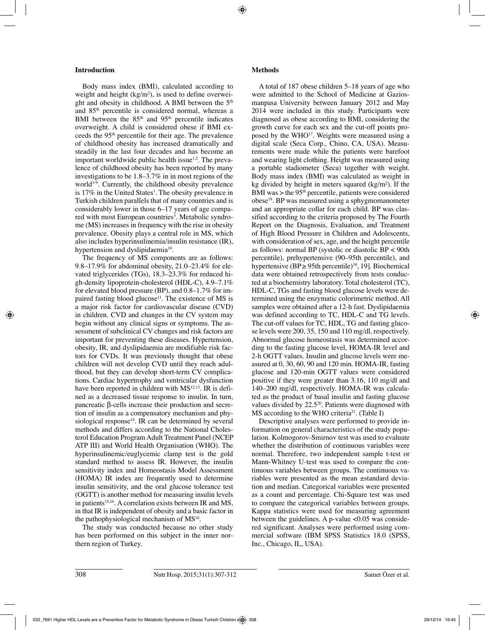# **Introduction**

Body mass index (BMI), calculated according to weight and height  $\frac{kg}{m^2}$ , is used to define overweight and obesity in childhood. A BMI between the 5<sup>th</sup> and 85th percentile is considered normal, whereas a BMI between the  $85<sup>th</sup>$  and  $95<sup>th</sup>$  percentile indicates overweight. A child is considered obese if BMI exceeds the 95th percentile for their age. The prevalence of childhood obesity has increased dramatically and steadily in the last four decades and has become an important worldwide public health issue $1,2$ . The prevalence of childhood obesity has been reported by many investigations to be 1.8–3.7% in in most regions of the world<sup>3-9</sup>. Currently, the childhood obesity prevalence is 17% in the United States<sup>1</sup>. The obesity prevalence in Turkish children parallels that of many countries and is considerably lower in those 6–17 years of age compared with most European countries<sup>3</sup>. Metabolic syndrome (MS) increases in frequency with the rise in obesity prevalence. Obesity plays a central role in MS, which also includes hyperinsulinemia/insulin resistance (IR), hypertension and dyslipidaemia<sup>10</sup>.

The frequency of MS components are as follows: 9.8–17.9% for abdominal obesity, 21.0–23.4% for elevated triglycerides (TGs), 18.3–23.3% for reduced high-density lipoprotein-cholesterol (HDL-C), 4.9–7.1% for elevated blood pressure (BP), and 0.8–1.7% for impaired fasting blood glucose<sup>11</sup>. The existence of MS is a major risk factor for cardiovascular disease (CVD) in children. CVD and changes in the CV system may begin without any clinical signs or symptoms. The assessment of subclinical CV changes and risk factors are important for preventing these diseases. Hypertension, obesity, IR, and dyslipidaemia are modifiable risk factors for CVDs. It was previously thought that obese children will not develop CVD until they reach adulthood, but they can develop short-term CV complications. Cardiac hypertrophy and ventricular dysfunction have been reported in children with MS<sup>12,13</sup>. IR is defined as a decreased tissue response to insulin. In turn, pancreatic β-cells increase their production and secretion of insulin as a compensatory mechanism and physiological response<sup>14</sup>. IR can be determined by several methods and differs according to the National Cholesterol Education Program Adult Treatment Panel (NCEP ATP III) and World Health Organisation (WHO). The hyperinsulinemic/euglycemic clamp test is the gold standard method to assess IR. However, the insulin sensitivity index and Homeostasis Model Assessment (HOMA) IR index are frequently used to determine insulin sensitivity, and the oral glucose tolerance test (OGTT) is another method for measuring insulin levels in patients<sup>15,16</sup>. A correlation exists between IR and MS, in that IR is independent of obesity and a basic factor in the pathophysiological mechanism of  $MS<sup>16</sup>$ .

The study was conducted because no other study has been performed on this subject in the inner northern region of Turkey.

# **Methods**

A total of 187 obese children 5–18 years of age who were admitted to the School of Medicine at Gaziosmanpasa University between January 2012 and May 2014 were included in this study. Participants were diagnosed as obese according to BMI, considering the growth curve for each sex and the cut-off points proposed by the WHO<sup>17</sup>. Weights were measured using a digital scale (Seca Corp., Chino, CA, USA). Measurements were made while the patients were barefoot and wearing light clothing. Height was measured using a portable stadiometer (Seca) together with weight. Body mass index (BMI) was calculated as weight in kg divided by height in meters squared (kg/m²). If the BMI was  $>$  the 95<sup>th</sup> percentile, patients were considered obese18. BP was measured using a sphygmomanometer and an appropriate collar for each child. BP was classified according to the criteria proposed by The Fourth Report on the Diagnosis, Evaluation, and Treatment of High Blood Pressure in Children and Adolescents, with consideration of sex, age, and the height percentile as follows: normal BP (systolic or diastolic BP < 90th percentile), prehypertensive (90–95th percentile), and hypertensive (BP  $\geq$  95th percentile)<sup>18</sup>, 19]. Biochemical data were obtained retrospectively from tests conducted at a biochemistry laboratory. Total cholesterol (TC), HDL-C, TGs and fasting blood glucose levels were determined using the enzymatic colorimetric method. All samples were obtained after a 12-h fast. Dyslipidaemia was defined according to TC, HDL-C and TG levels. The cut-off values for TC, HDL, TG and fasting glucose levels were 200, 35, 150 and 110 mg/dl, respectively. Abnormal glucose homeostasis was determined according to the fasting glucose level, HOMA-IR level and 2-h OGTT values. Insulin and glucose levels were measured at 0, 30, 60, 90 and 120 min. HOMA-IR, fasting glucose and 120-min OGTT values were considered positive if they were greater than 3.16, 110 mg/dl and 140–200 mg/dl, respectively. HOMA-IR was calculated as the product of basal insulin and fasting glucose values divided by  $22.5^{20}$ . Patients were diagnosed with MS according to the WHO criteria<sup>21</sup>. (Table I)

Descriptive analyses were performed to provide information on general characteristics of the study population. Kolmogorov-Smirnov test was used to evaluate whether the distribution of continuous variables were normal. Therefore, two independent sample t-test or Mann-Whitney U-test was used to compare the continuous variables between groups. The continuous variables were presented as the mean ±standard deviation and median. Categorical variables were presented as a count and percentage. Chi-Square test was used to compare the categorical variables between groups. Kappa statistics were used for measuring agreement between the guidelines. A p-value  $\langle 0.05 \rangle$  was considered significant. Analyses were performed using commercial software (IBM SPSS Statistics 18.0 (SPSS, Inc., Chicago, IL, USA).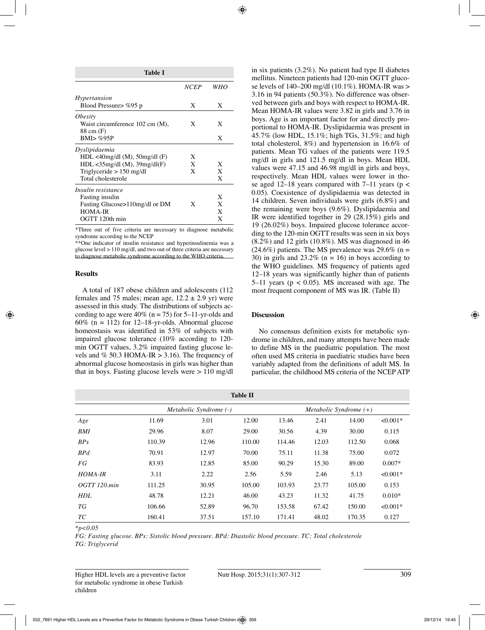| Table I                                |             |     |  |  |  |  |  |
|----------------------------------------|-------------|-----|--|--|--|--|--|
|                                        | <b>NCEP</b> | WHO |  |  |  |  |  |
| <i>Hypertansion</i>                    |             |     |  |  |  |  |  |
| Blood Pressure > %95 p                 | X           | X   |  |  |  |  |  |
| <i><b>Obesity</b></i>                  |             |     |  |  |  |  |  |
| Waist circumference 102 cm (M),        | X           | X   |  |  |  |  |  |
| 88 cm (F)                              |             |     |  |  |  |  |  |
| $BMI > \%95P$                          |             | X   |  |  |  |  |  |
| Dyslipidaemia                          |             |     |  |  |  |  |  |
| $HDL < 40$ mg/dl (M), $50$ mg/dl (F)   | X           |     |  |  |  |  |  |
| $HDL < 35$ mg/dl $(M)$ , 39mg/dl $(F)$ | X           | X   |  |  |  |  |  |
| Triglyceride $> 150$ mg/dl             | X           | X   |  |  |  |  |  |
| Total cholesterole                     |             | X   |  |  |  |  |  |
| Insulin resistance                     |             |     |  |  |  |  |  |
| <b>Fasting insulin</b>                 |             | X   |  |  |  |  |  |
| Fasting Glucose>110mg/dl or DM         | X           | X   |  |  |  |  |  |
| <b>HOMA-IR</b>                         |             | X   |  |  |  |  |  |
| OGTT 120th min                         |             | X   |  |  |  |  |  |

\*Three out of five criteria are necessary to diagnose metabolic syndrome according to the NCEP

\*\*One indicator of insulin resistance and hyperinsulinemia was a glucose level > 110 mg/dl, and two out of three criteria are necessary to diagnose metabolic syndrome according to the WHO criteria.

## **Results**

A total of 187 obese children and adolescents (112 females and 75 males; mean age,  $12.2 \pm 2.9$  yr) were assessed in this study. The distributions of subjects according to age were  $40\%$  (n = 75) for 5–11-yr-olds and 60% ( $n = 112$ ) for 12–18-yr-olds. Abnormal glucose homeostasis was identified in 53% of subjects with impaired glucose tolerance (10% according to 120 min OGTT values, 3.2% impaired fasting glucose levels and % 50.3 HOMA-IR  $> 3.16$ ). The frequency of abnormal glucose homeostasis in girls was higher than that in boys. Fasting glucose levels were  $> 110$  mg/dl in six patients (3.2%). No patient had type II diabetes mellitus. Nineteen patients had 120-min OGTT glucose levels of  $140-200$  mg/dl  $(10.1\%)$ . HOMA-IR was > 3.16 in 94 patients (50.3%). No difference was observed between girls and boys with respect to HOMA-IR. Mean HOMA-IR values were 3.82 in girls and 3.76 in boys. Age is an important factor for and directly proportional to HOMA-IR. Dyslipidaemia was present in 45.7% (low HDL, 15.1%; high TGs, 31.5%; and high total cholesterol, 8%) and hypertension in 16.6% of patients. Mean TG values of the patients were 119.5 mg/dl in girls and 121.5 mg/dl in boys. Mean HDL values were 47.15 and 46.98 mg/dl in girls and boys, respectively. Mean HDL values were lower in those aged 12–18 years compared with 7–11 years ( $p$  < 0.05). Coexistence of dyslipidaemia was detected in 14 children. Seven individuals were girls (6.8%) and the remaining were boys (9.6%). Dyslipidaemia and IR were identified together in 29 (28.15%) girls and 19 (26.02%) boys. Impaired glucose tolerance according to the 120-min OGTT results was seen in six boys  $(8.2\%)$  and 12 girls  $(10.8\%)$ . MS was diagnosed in 46  $(24.6\%)$  patients. The MS prevalence was 29.6% (n = 30) in girls and  $23.2\%$  (n = 16) in boys according to the WHO guidelines. MS frequency of patients aged 12–18 years was significantly higher than of patients 5–11 years ( $p < 0.05$ ). MS increased with age. The most frequent component of MS was IR. (Table II)

# **Discussion**

No consensus definition exists for metabolic syndrome in children, and many attempts have been made to define MS in the paediatric population. The most often used MS criteria in paediatric studies have been variably adapted from the definitions of adult MS. In particular, the childhood MS criteria of the NCEP ATP

| <b>Table II</b>   |                        |       |        |                          |       |        |            |  |
|-------------------|------------------------|-------|--------|--------------------------|-------|--------|------------|--|
|                   | Metabolic Syndrome (-) |       |        | Metabolic Syndrome $(+)$ |       |        |            |  |
| Age               | 11.69                  | 3.01  | 12.00  | 13.46                    | 2.41  | 14.00  | $< 0.001*$ |  |
| <b>BMI</b>        | 29.96                  | 8.07  | 29.00  | 30.56                    | 4.39  | 30.00  | 0.115      |  |
| BP <sub>S</sub>   | 110.39                 | 12.96 | 110.00 | 114.46                   | 12.03 | 112.50 | 0.068      |  |
| BPd               | 70.91                  | 12.97 | 70.00  | 75.11                    | 11.38 | 75.00  | 0.072      |  |
| FG                | 83.93                  | 12.85 | 85.00  | 90.29                    | 15.30 | 89.00  | $0.007*$   |  |
| <b>HOMA-IR</b>    | 3.11                   | 2.22  | 2.56   | 5.59                     | 2.46  | 5.13   | $< 0.001*$ |  |
| $OGTT$ 120. $min$ | 111.25                 | 30.95 | 105.00 | 103.93                   | 23.77 | 105.00 | 0.153      |  |
| <b>HDL</b>        | 48.78                  | 12.21 | 46.00  | 43.23                    | 11.32 | 41.75  | $0.010*$   |  |
| ТG                | 106.66                 | 52.89 | 96.70  | 153.58                   | 67.42 | 150.00 | $< 0.001*$ |  |
| ТC                | 160.41                 | 37.51 | 157.10 | 171.41                   | 48.02 | 170.35 | 0.127      |  |

*\*p<0.05*

*FG: Fasting glucose. BPs: Sistolic blood pressure. BPd: Diastolic blood pressure. TC: Total cholesterole TG: Triglycerid*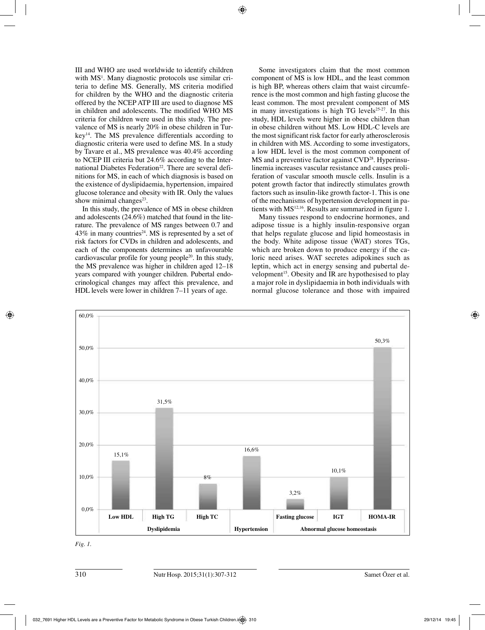III and WHO are used worldwide to identify children with MS<sup>1</sup>. Many diagnostic protocols use similar criteria to define MS. Generally, MS criteria modified for children by the WHO and the diagnostic criteria offered by the NCEP ATP III are used to diagnose MS in children and adolescents. The modified WHO MS criteria for children were used in this study. The prevalence of MS is nearly 20% in obese children in Turkey14. The MS prevalence differentials according to diagnostic criteria were used to define MS. In a study by Tavare et al., MS prevalence was 40.4% according to NCEP III criteria but 24.6% according to the International Diabetes Federation<sup>22</sup>. There are several definitions for MS, in each of which diagnosis is based on the existence of dyslipidaemia, hypertension, impaired glucose tolerance and obesity with IR. Only the values show minimal changes $23$ .

In this study, the prevalence of MS in obese children and adolescents (24.6%) matched that found in the literature. The prevalence of MS ranges between 0.7 and  $43\%$  in many countries<sup>24</sup>. MS is represented by a set of risk factors for CVDs in children and adolescents, and each of the components determines an unfavourable cardiovascular profile for young people20. In this study, the MS prevalence was higher in children aged 12–18 years compared with younger children. Pubertal endocrinological changes may affect this prevalence, and HDL levels were lower in children 7–11 years of age.

Some investigators claim that the most common component of MS is low HDL, and the least common is high BP, whereas others claim that waist circumference is the most common and high fasting glucose the least common. The most prevalent component of MS in many investigations is high TG levels $25-27$ . In this study, HDL levels were higher in obese children than in obese children without MS. Low HDL-C levels are the most significant risk factor for early atherosclerosis in children with MS. According to some investigators, a low HDL level is the most common component of  $MS$  and a preventive factor against  $CVD^{28}$ . Hyperinsulinemia increases vascular resistance and causes proliferation of vascular smooth muscle cells. Insulin is a potent growth factor that indirectly stimulates growth factors such as insulin-like growth factor-1. This is one of the mechanisms of hypertension development in patients with MS<sup>12,16</sup>. Results are summarized in figure 1.

Many tissues respond to endocrine hormones, and adipose tissue is a highly insulin-responsive organ that helps regulate glucose and lipid homeostasis in the body. White adipose tissue (WAT) stores TGs, which are broken down to produce energy if the caloric need arises. WAT secretes adipokines such as leptin, which act in energy sensing and pubertal development<sup>15</sup>. Obesity and IR are hypothesised to play a major role in dyslipidaemia in both individuals with normal glucose tolerance and those with impaired



*Fig. 1.*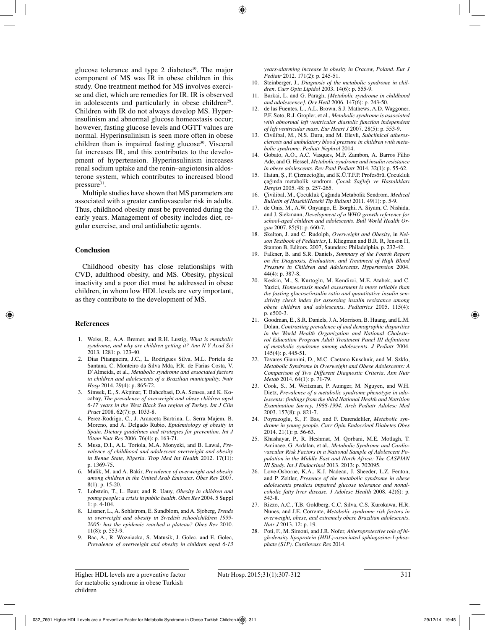glucose tolerance and type  $2$  diabetes<sup>10</sup>. The major component of MS was IR in obese children in this study. One treatment method for MS involves exercise and diet, which are remedies for IR. IR is observed in adolescents and particularly in obese children<sup>29</sup>. Children with IR do not always develop MS. Hyperinsulinism and abnormal glucose homeostasis occur; however, fasting glucose levels and OGTT values are normal. Hyperinsulinism is seen more often in obese children than is impaired fasting glucose<sup>30</sup>. Visceral fat increases IR, and this contributes to the development of hypertension. Hyperinsulinism increases renal sodium uptake and the renin–angiotensin aldosterone system, which contributes to increased blood pressure<sup>31</sup>.

Multiple studies have shown that MS parameters are associated with a greater cardiovascular risk in adults. Thus, childhood obesity must be prevented during the early years. Management of obesity includes diet, regular exercise, and oral antidiabetic agents.

#### **Conclusion**

Childhood obesity has close relationships with CVD, adulthood obesity, and MS. Obesity, physical inactivity and a poor diet must be addressed in obese children, in whom low HDL levels are very important, as they contribute to the development of MS.

## **References**

- 1. Weiss, R., A.A. Bremer, and R.H. Lustig, *What is metabolic syndrome, and why are children getting it? Ann N Y Acad Sci* 2013. 1281: p. 123-40.
- 2. Dias Pitangueira, J.C., L. Rodrigues Silva, M.L. Portela de Santana, C. Monteiro da Silva Mda, P.R. de Farias Costa, V. D'Almeida, et al., *Metabolic syndrome and associated factors in children and adolescents of a Brazilian municipality. Nutr Hosp* 2014. 29(4): p. 865-72.
- 3. Simsek, E., S. Akpinar, T. Bahcebasi, D.A. Senses, and K. Kocabay, *The prevalence of overweight and obese children aged 6-17 years in the West Black Sea region of Turkey. Int J Clin Pract* 2008. 62(7): p. 1033-8.
- 4. Perez-Rodrigo, C., J. Aranceta Bartrina, L. Serra Majem, B. Moreno, and A. Delgado Rubio, *Epidemiology of obesity in Spain. Dietary guidelines and strategies for prevention. Int J Vitam Nutr Res* 2006. 76(4): p. 163-71.
- 5. Musa, D.I., A.L. Toriola, M.A. Monyeki, and B. Lawal, *Prevalence of childhood and adolescent overweight and obesity in Benue State, Nigeria. Trop Med Int Health* 2012. 17(11): p. 1369-75.
- 6. Malik, M. and A. Bakir, *Prevalence of overweight and obesity among children in the United Arab Emirates. Obes Rev* 2007. 8(1): p. 15-20.
- 7. Lobstein, T., L. Baur, and R. Uauy, *Obesity in children and young people: a crisis in public health. Obes Rev* 2004. 5 Suppl 1: p. 4-104.
- 8. Lissner, L., A. Sohlstrom, E. Sundblom, and A. Sjoberg, *Trends in overweight and obesity in Swedish schoolchildren 1999- 2005: has the epidemic reached a plateau? Obes Rev* 2010. 11(8): p. 553-9.
- 9. Bac, A., R. Wozniacka, S. Matusik, J. Golec, and E. Golec, *Prevalence of overweight and obesity in children aged 6-13*

*years-alarming increase in obesity in Cracow, Poland. Eur J Pediatr* 2012. 171(2): p. 245-51.

- 10. Steinberger, J., *Diagnosis of the metabolic syndrome in children. Curr Opin Lipidol* 2003. 14(6): p. 555-9.
- 11. Barkai, L. and G. Paragh, *[Metabolic syndrome in childhood and adolescence]. Orv Hetil* 2006. 147(6): p. 243-50.
- 12. de las Fuentes, L., A.L. Brown, S.J. Mathews, A.D. Waggoner, P.F. Soto, R.J. Gropler, et al., *Metabolic syndrome is associated with abnormal left ventricular diastolic function independent of left ventricular mass. Eur Heart J* 2007. 28(5): p. 553-9.
- 13. Civilibal, M., N.S. Duru, and M. Elevli, *Subclinical atherosclerosis and ambulatory blood pressure in children with metabolic syndrome. Pediatr Nephrol* 2014.
- 14. Gobato, A.O., A.C. Vasques, M.P. Zambon, A. Barros Filho Ade, and G. Hessel, *Metabolic syndrome and insulin resistance in obese adolescents. Rev Paul Pediatr* 2014. 32(1): p. 55-62.
- 15. Hatun, Ş., F. Çizmecioğlu, and K.Ü.T.F.P. Profesörü, Çocukluk çağında metabolik sendrom. *Çocuk Sağlığı ve Hastalıkları Dergisi* 2005. 48: p. 257-265.
- 16. Çivilibal, M., Çocukluk Çağında Metabolik Sendrom. *Medical Bulletin of Haseki/Haseki Tip Bulteni* 2011. 49(1): p. 5-9.
- 17. de Onis, M., A.W. Onyango, E. Borghi, A. Siyam, C. Nishida, and J. Siekmann, *Development of a WHO growth reference for school-aged children and adolescents. Bull World Health Organ* 2007. 85(9): p. 660-7.
- 18. Skelton, J. and C. Rudolph, *Overweight and Obesity*, in *Nelson Textbook of Pediatrics*, I. Kliegman and B.R. R, Jenson H, Stanton B, Editors. 2007, Saunders: Philadelphia. p. 232-42.
- 19. Falkner, B. and S.R. Daniels, *Summary of the Fourth Report on the Diagnosis, Evaluation, and Treatment of High Blood Pressure in Children and Adolescents. Hypertension* 2004. 44(4): p. 387-8.
- 20. Keskin, M., S. Kurtoglu, M. Kendirci, M.E. Atabek, and C. Yazici, *Homeostasis model assessment is more reliable than the fasting glucose/insulin ratio and quantitative insulin sensitivity check index for assessing insulin resistance among obese children and adolescents. Pediatrics* 2005. 115(4): p. e500-3.
- 21. Goodman, E., S.R. Daniels, J.A. Morrison, B. Huang, and L.M. Dolan, *Contrasting prevalence of and demographic disparities in the World Health Organization and National Cholesterol Education Program Adult Treatment Panel III definitions of metabolic syndrome among adolescents. J Pediatr* 2004. 145(4): p. 445-51.
- 22. Tavares Giannini, D., M.C. Caetano Kuschnir, and M. Szklo, *Metabolic Syndrome in Overweight and Obese Adolescents: A Comparison of Two Different Diagnostic Criteria. Ann Nutr Metab* 2014. 64(1): p. 71-79.
- 23. Cook, S., M. Weitzman, P. Auinger, M. Nguyen, and W.H. Dietz, *Prevalence of a metabolic syndrome phenotype in adolescents: findings from the third National Health and Nutrition Examination Survey, 1988-1994. Arch Pediatr Adolesc Med* 2003. 157(8): p. 821-7.
- 24. Poyrazoglu, S., F. Bas, and F. Darendeliler, *Metabolic syndrome in young people. Curr Opin Endocrinol Diabetes Obes* 2014. 21(1): p. 56-63.
- 25. Khashayar, P., R. Heshmat, M. Qorbani, M.E. Motlagh, T. Aminaee, G. Ardalan, et al., *Metabolic Syndrome and Cardiovascular Risk Factors in a National Sample of Adolescent Population in the Middle East and North Africa: The CASPIAN III Study. Int J Endocrinol* 2013. 2013: p. 702095.
- 26. Love-Osborne, K.A., K.J. Nadeau, J. Sheeder, L.Z. Fenton, and P. Zeitler, *Presence of the metabolic syndrome in obese adolescents predicts impaired glucose tolerance and nonalcoholic fatty liver disease. J Adolesc Health* 2008. 42(6): p. 543-8.
- 27. Rizzo, A.C., T.B. Goldberg, C.C. Silva, C.S. Kurokawa, H.R. Nunes, and J.E. Corrente, *Metabolic syndrome risk factors in overweight, obese, and extremely obese Brazilian adolescents. Nutr J* 2013. 12: p. 19.
- 28. Poti, F., M. Simoni, and J.R. Nofer, *Atheroprotective role of high-density lipoprotein (HDL)-associated sphingosine-1-phosphate (S1P). Cardiovasc Res* 2014.